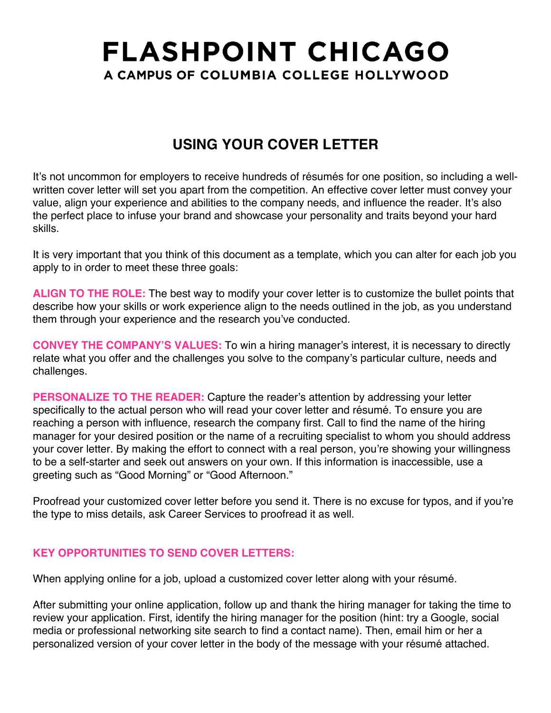# **FLASHPOINT CHICAGO** A CAMPUS OF COLUMBIA COLLEGE HOLLYWOOD

## **USING YOUR COVER LETTER**

It's not uncommon for employers to receive hundreds of résumés for one position, so including a wellwritten cover letter will set you apart from the competition. An effective cover letter must convey your value, align your experience and abilities to the company needs, and influence the reader. It's also the perfect place to infuse your brand and showcase your personality and traits beyond your hard skills.

It is very important that you think of this document as a template, which you can alter for each job you apply to in order to meet these three goals:

**ALIGN TO THE ROLE:** The best way to modify your cover letter is to customize the bullet points that describe how your skills or work experience align to the needs outlined in the job, as you understand them through your experience and the research you've conducted.

**CONVEY THE COMPANY'S VALUES:** To win a hiring manager's interest, it is necessary to directly relate what you offer and the challenges you solve to the company's particular culture, needs and challenges.

**PERSONALIZE TO THE READER:** Capture the reader's attention by addressing your letter specifically to the actual person who will read your cover letter and résumé. To ensure you are reaching a person with influence, research the company first. Call to find the name of the hiring manager for your desired position or the name of a recruiting specialist to whom you should address your cover letter. By making the effort to connect with a real person, you're showing your willingness to be a self-starter and seek out answers on your own. If this information is inaccessible, use a greeting such as "Good Morning" or "Good Afternoon."

Proofread your customized cover letter before you send it. There is no excuse for typos, and if you're the type to miss details, ask Career Services to proofread it as well.

#### **KEY OPPORTUNITIES TO SEND COVER LETTERS:**

When applying online for a job, upload a customized cover letter along with your résumé.

After submitting your online application, follow up and thank the hiring manager for taking the time to review your application. First, identify the hiring manager for the position (hint: try a Google, social media or professional networking site search to find a contact name). Then, email him or her a personalized version of your cover letter in the body of the message with your résumé attached.